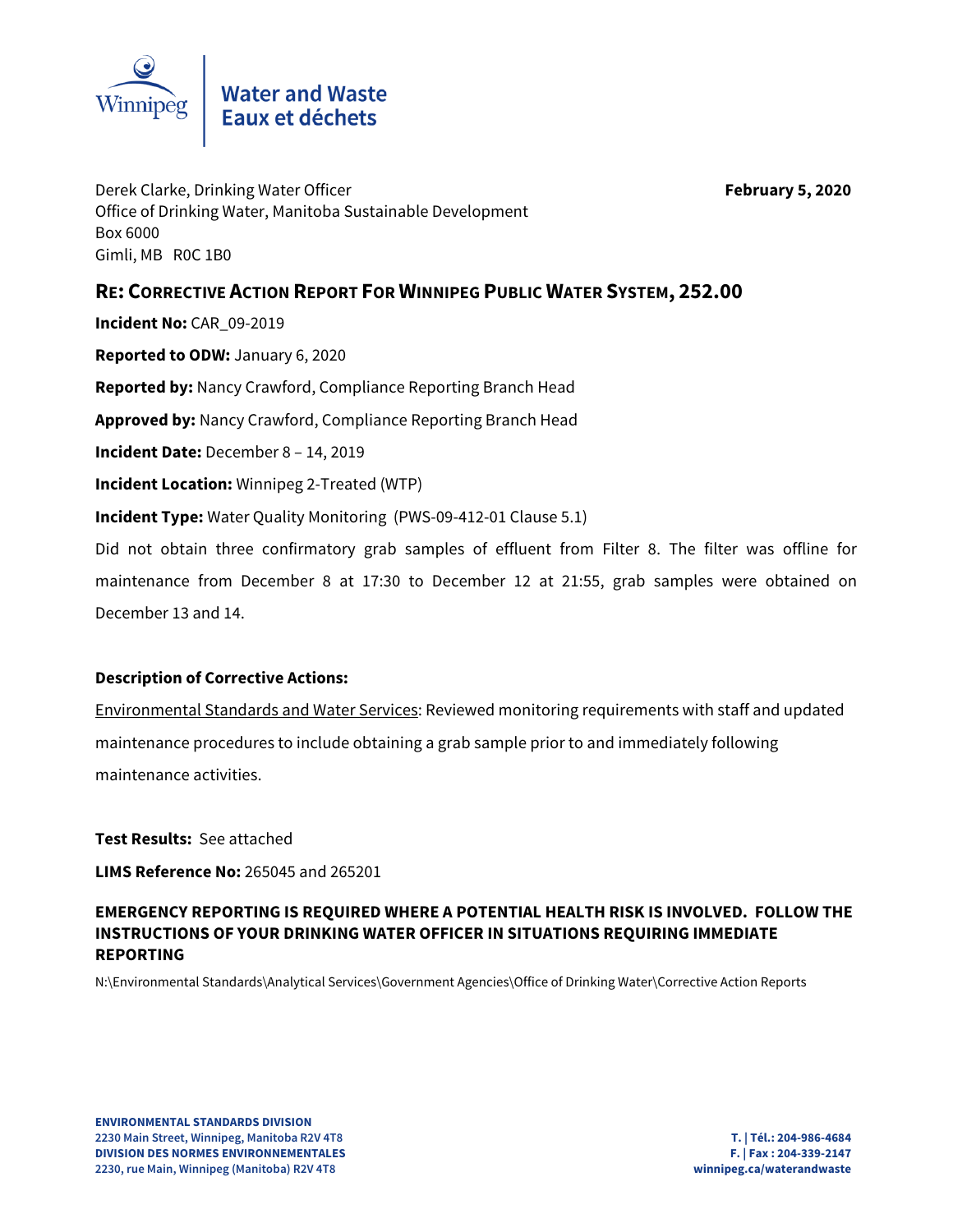

Derek Clarke, Drinking Water Officer **February 5, 2020** Office of Drinking Water, Manitoba Sustainable Development Box 6000 Gimli, MB R0C 1B0

## **RE: CORRECTIVE ACTION REPORT FOR WINNIPEG PUBLIC WATER SYSTEM, 252.00**

**Incident No:** CAR\_09-2019

**Reported to ODW:** January 6, 2020

**Reported by:** Nancy Crawford, Compliance Reporting Branch Head

**Approved by:** Nancy Crawford, Compliance Reporting Branch Head

**Incident Date:** December 8 – 14, 2019

**Incident Location:** Winnipeg 2-Treated (WTP)

**Incident Type:** Water Quality Monitoring (PWS-09-412-01 Clause 5.1)

Did not obtain three confirmatory grab samples of effluent from Filter 8. The filter was offline for maintenance from December 8 at 17:30 to December 12 at 21:55, grab samples were obtained on December 13 and 14.

## **Description of Corrective Actions:**

Environmental Standards and Water Services: Reviewed monitoring requirements with staff and updated maintenance procedures to include obtaining a grab sample prior to and immediately following maintenance activities.

**Test Results:** See attached

**LIMS Reference No:** 265045 and 265201

## **EMERGENCY REPORTING IS REQUIRED WHERE A POTENTIAL HEALTH RISK IS INVOLVED. FOLLOW THE INSTRUCTIONS OF YOUR DRINKING WATER OFFICER IN SITUATIONS REQUIRING IMMEDIATE REPORTING**

N:\Environmental Standards\Analytical Services\Government Agencies\Office of Drinking Water\Corrective Action Reports